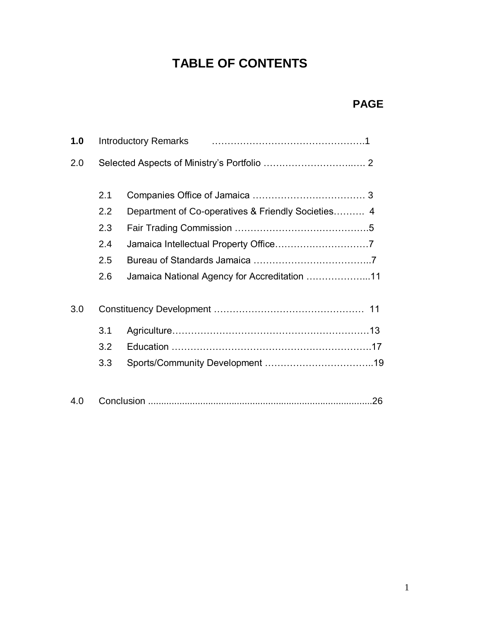# **TABLE OF CONTENTS**

# **PAGE**

| 1.0 |     | <b>Introductory Remarks</b>                        |  |
|-----|-----|----------------------------------------------------|--|
| 2.0 |     |                                                    |  |
|     | 2.1 |                                                    |  |
|     | 2.2 | Department of Co-operatives & Friendly Societies 4 |  |
|     | 2.3 |                                                    |  |
|     | 2.4 |                                                    |  |
|     | 2.5 |                                                    |  |
|     | 2.6 | Jamaica National Agency for Accreditation 11       |  |
| 3.0 |     |                                                    |  |
|     | 3.1 |                                                    |  |
|     | 3.2 |                                                    |  |
|     | 3.3 |                                                    |  |
| 4.0 |     |                                                    |  |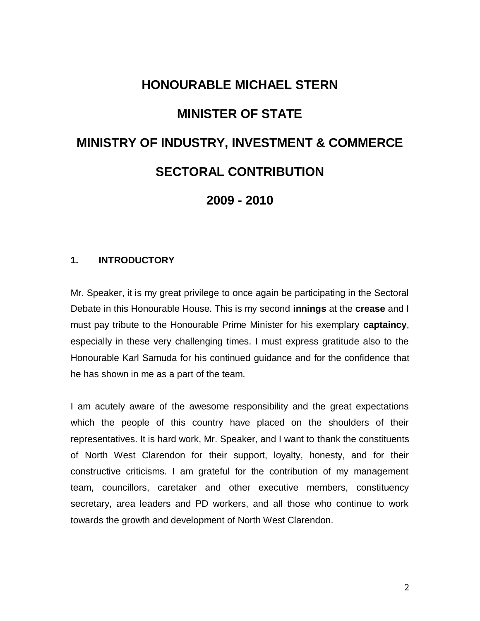# **HONOURABLE MICHAEL STERN MINISTER OF STATE MINISTRY OF INDUSTRY, INVESTMENT & COMMERCE SECTORAL CONTRIBUTION 2009 - 2010**

#### **1. INTRODUCTORY**

Mr. Speaker, it is my great privilege to once again be participating in the Sectoral Debate in this Honourable House. This is my second **innings** at the **crease** and I must pay tribute to the Honourable Prime Minister for his exemplary **captaincy**, especially in these very challenging times. I must express gratitude also to the Honourable Karl Samuda for his continued guidance and for the confidence that he has shown in me as a part of the team.

I am acutely aware of the awesome responsibility and the great expectations which the people of this country have placed on the shoulders of their representatives. It is hard work, Mr. Speaker, and I want to thank the constituents of North West Clarendon for their support, loyalty, honesty, and for their constructive criticisms. I am grateful for the contribution of my management team, councillors, caretaker and other executive members, constituency secretary, area leaders and PD workers, and all those who continue to work towards the growth and development of North West Clarendon.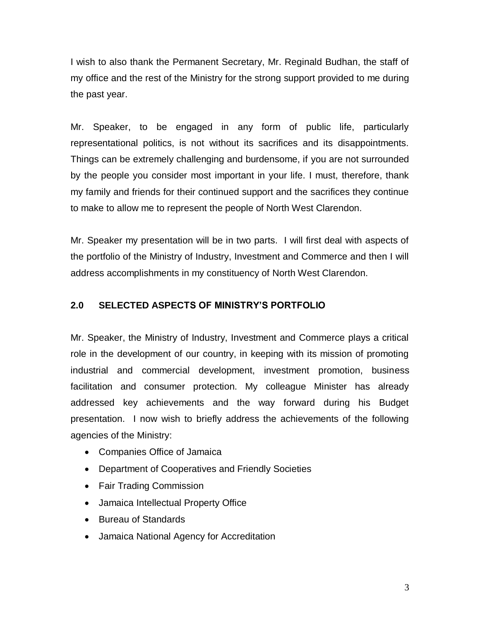I wish to also thank the Permanent Secretary, Mr. Reginald Budhan, the staff of my office and the rest of the Ministry for the strong support provided to me during the past year.

Mr. Speaker, to be engaged in any form of public life, particularly representational politics, is not without its sacrifices and its disappointments. Things can be extremely challenging and burdensome, if you are not surrounded by the people you consider most important in your life. I must, therefore, thank my family and friends for their continued support and the sacrifices they continue to make to allow me to represent the people of North West Clarendon.

Mr. Speaker my presentation will be in two parts. I will first deal with aspects of the portfolio of the Ministry of Industry, Investment and Commerce and then I will address accomplishments in my constituency of North West Clarendon.

#### **2.0 SELECTED ASPECTS OF MINISTRY'S PORTFOLIO**

Mr. Speaker, the Ministry of Industry, Investment and Commerce plays a critical role in the development of our country, in keeping with its mission of promoting industrial and commercial development, investment promotion, business facilitation and consumer protection. My colleague Minister has already addressed key achievements and the way forward during his Budget presentation. I now wish to briefly address the achievements of the following agencies of the Ministry:

- Companies Office of Jamaica
- Department of Cooperatives and Friendly Societies
- Fair Trading Commission
- Jamaica Intellectual Property Office
- Bureau of Standards
- Jamaica National Agency for Accreditation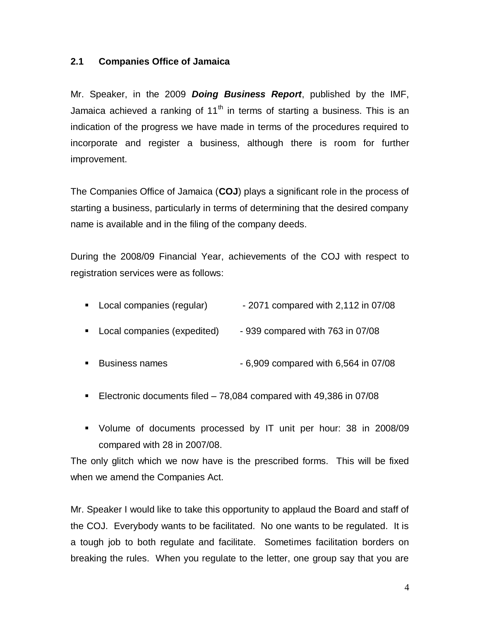#### **2.1 Companies Office of Jamaica**

Mr. Speaker, in the 2009 *Doing Business Report*, published by the IMF, Jamaica achieved a ranking of  $11<sup>th</sup>$  in terms of starting a business. This is an indication of the progress we have made in terms of the procedures required to incorporate and register a business, although there is room for further improvement.

The Companies Office of Jamaica (**COJ**) plays a significant role in the process of starting a business, particularly in terms of determining that the desired company name is available and in the filing of the company deeds.

During the 2008/09 Financial Year, achievements of the COJ with respect to registration services were as follows:

- Local companies (regular) 2071 compared with 2,112 in 07/08
- Local companies (expedited) 939 compared with 763 in 07/08
- Business names 6,909 compared with 6,564 in 07/08
- Electronic documents filed 78,084 compared with 49,386 in 07/08
- Volume of documents processed by IT unit per hour: 38 in 2008/09 compared with 28 in 2007/08.

The only glitch which we now have is the prescribed forms. This will be fixed when we amend the Companies Act.

Mr. Speaker I would like to take this opportunity to applaud the Board and staff of the COJ. Everybody wants to be facilitated. No one wants to be regulated. It is a tough job to both regulate and facilitate. Sometimes facilitation borders on breaking the rules. When you regulate to the letter, one group say that you are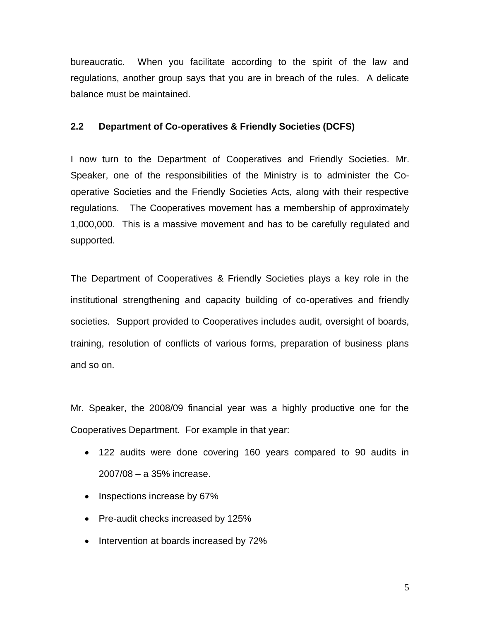bureaucratic. When you facilitate according to the spirit of the law and regulations, another group says that you are in breach of the rules. A delicate balance must be maintained.

#### **2.2 Department of Co-operatives & Friendly Societies (DCFS)**

I now turn to the Department of Cooperatives and Friendly Societies. Mr. Speaker, one of the responsibilities of the Ministry is to administer the Cooperative Societies and the Friendly Societies Acts, along with their respective regulations. The Cooperatives movement has a membership of approximately 1,000,000. This is a massive movement and has to be carefully regulated and supported.

The Department of Cooperatives & Friendly Societies plays a key role in the institutional strengthening and capacity building of co-operatives and friendly societies. Support provided to Cooperatives includes audit, oversight of boards, training, resolution of conflicts of various forms, preparation of business plans and so on.

Mr. Speaker, the 2008/09 financial year was a highly productive one for the Cooperatives Department. For example in that year:

- 122 audits were done covering 160 years compared to 90 audits in 2007/08 – a 35% increase.
- Inspections increase by 67%
- Pre-audit checks increased by 125%
- Intervention at boards increased by 72%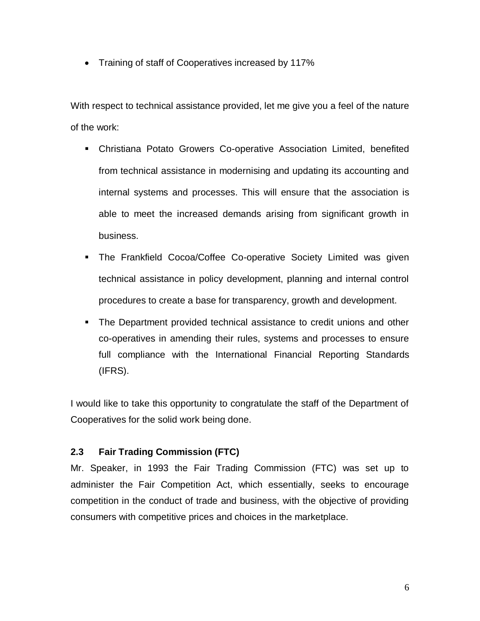• Training of staff of Cooperatives increased by 117%

With respect to technical assistance provided, let me give you a feel of the nature of the work:

- Christiana Potato Growers Co-operative Association Limited, benefited from technical assistance in modernising and updating its accounting and internal systems and processes. This will ensure that the association is able to meet the increased demands arising from significant growth in business.
- The Frankfield Cocoa/Coffee Co-operative Society Limited was given technical assistance in policy development, planning and internal control procedures to create a base for transparency, growth and development.
- The Department provided technical assistance to credit unions and other co-operatives in amending their rules, systems and processes to ensure full compliance with the International Financial Reporting Standards (IFRS).

I would like to take this opportunity to congratulate the staff of the Department of Cooperatives for the solid work being done.

# **2.3 Fair Trading Commission (FTC)**

Mr. Speaker, in 1993 the Fair Trading Commission (FTC) was set up to administer the Fair Competition Act, which essentially, seeks to encourage competition in the conduct of trade and business, with the objective of providing consumers with competitive prices and choices in the marketplace.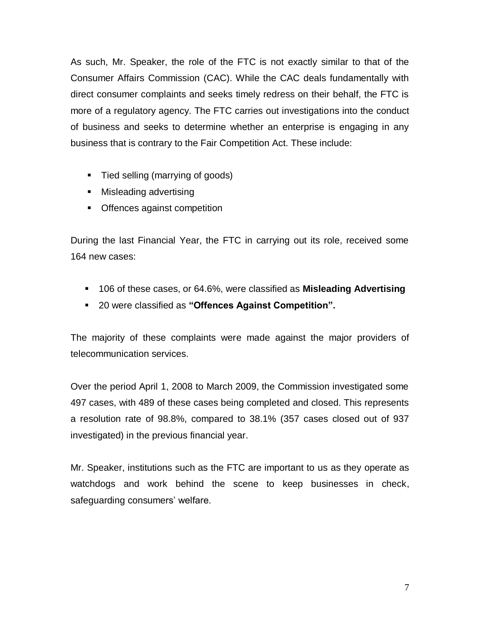As such, Mr. Speaker, the role of the FTC is not exactly similar to that of the Consumer Affairs Commission (CAC). While the CAC deals fundamentally with direct consumer complaints and seeks timely redress on their behalf, the FTC is more of a regulatory agency. The FTC carries out investigations into the conduct of business and seeks to determine whether an enterprise is engaging in any business that is contrary to the Fair Competition Act. These include:

- Tied selling (marrying of goods)
- Misleading advertising
- Offences against competition

During the last Financial Year, the FTC in carrying out its role, received some 164 new cases:

- 106 of these cases, or 64.6%, were classified as **Misleading Advertising**
- 20 were classified as **"Offences Against Competition".**

The majority of these complaints were made against the major providers of telecommunication services.

Over the period April 1, 2008 to March 2009, the Commission investigated some 497 cases, with 489 of these cases being completed and closed. This represents a resolution rate of 98.8%, compared to 38.1% (357 cases closed out of 937 investigated) in the previous financial year.

Mr. Speaker, institutions such as the FTC are important to us as they operate as watchdogs and work behind the scene to keep businesses in check, safeguarding consumers' welfare.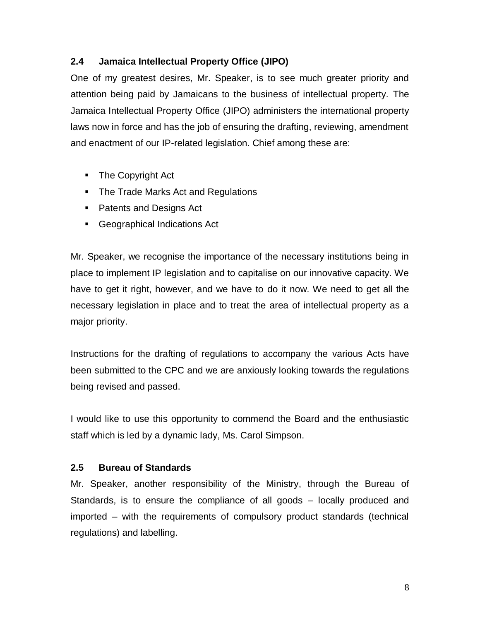#### **2.4 Jamaica Intellectual Property Office (JIPO)**

One of my greatest desires, Mr. Speaker, is to see much greater priority and attention being paid by Jamaicans to the business of intellectual property. The Jamaica Intellectual Property Office (JIPO) administers the international property laws now in force and has the job of ensuring the drafting, reviewing, amendment and enactment of our IP-related legislation. Chief among these are:

- The Copyright Act
- The Trade Marks Act and Regulations
- Patents and Designs Act
- **Geographical Indications Act**

Mr. Speaker, we recognise the importance of the necessary institutions being in place to implement IP legislation and to capitalise on our innovative capacity. We have to get it right, however, and we have to do it now. We need to get all the necessary legislation in place and to treat the area of intellectual property as a major priority.

Instructions for the drafting of regulations to accompany the various Acts have been submitted to the CPC and we are anxiously looking towards the regulations being revised and passed.

I would like to use this opportunity to commend the Board and the enthusiastic staff which is led by a dynamic lady, Ms. Carol Simpson.

#### **2.5 Bureau of Standards**

Mr. Speaker, another responsibility of the Ministry, through the Bureau of Standards, is to ensure the compliance of all goods – locally produced and imported – with the requirements of compulsory product standards (technical regulations) and labelling.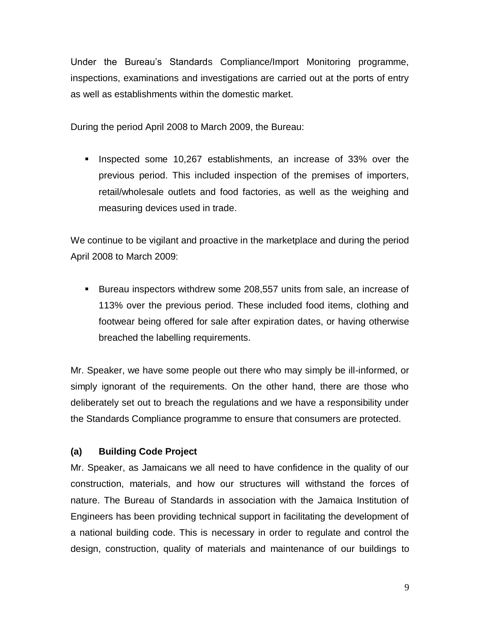Under the Bureau's Standards Compliance/Import Monitoring programme, inspections, examinations and investigations are carried out at the ports of entry as well as establishments within the domestic market.

During the period April 2008 to March 2009, the Bureau:

**Inspected some 10,267 establishments, an increase of 33% over the** previous period. This included inspection of the premises of importers, retail/wholesale outlets and food factories, as well as the weighing and measuring devices used in trade.

We continue to be vigilant and proactive in the marketplace and during the period April 2008 to March 2009:

 Bureau inspectors withdrew some 208,557 units from sale, an increase of 113% over the previous period. These included food items, clothing and footwear being offered for sale after expiration dates, or having otherwise breached the labelling requirements.

Mr. Speaker, we have some people out there who may simply be ill-informed, or simply ignorant of the requirements. On the other hand, there are those who deliberately set out to breach the regulations and we have a responsibility under the Standards Compliance programme to ensure that consumers are protected.

# **(a) Building Code Project**

Mr. Speaker, as Jamaicans we all need to have confidence in the quality of our construction, materials, and how our structures will withstand the forces of nature. The Bureau of Standards in association with the Jamaica Institution of Engineers has been providing technical support in facilitating the development of a national building code. This is necessary in order to regulate and control the design, construction, quality of materials and maintenance of our buildings to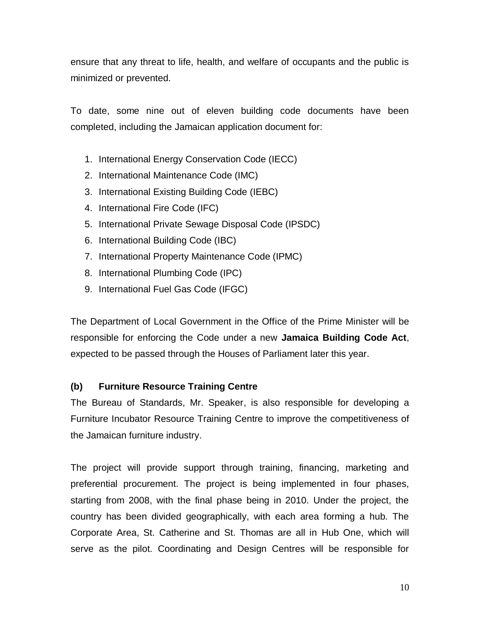ensure that any threat to life, health, and welfare of occupants and the public is minimized or prevented.

To date, some nine out of eleven building code documents have been completed, including the Jamaican application document for:

- 1. International Energy Conservation Code (IECC)
- 2. International Maintenance Code (IMC)
- 3. International Existing Building Code (IEBC)
- 4. International Fire Code (IFC)
- 5. International Private Sewage Disposal Code (IPSDC)
- 6. International Building Code (IBC)
- 7. International Property Maintenance Code (IPMC)
- 8. International Plumbing Code (IPC)
- 9. International Fuel Gas Code (IFGC)

The Department of Local Government in the Office of the Prime Minister will be responsible for enforcing the Code under a new **Jamaica Building Code Act**, expected to be passed through the Houses of Parliament later this year.

#### **(b) Furniture Resource Training Centre**

The Bureau of Standards, Mr. Speaker, is also responsible for developing a Furniture Incubator Resource Training Centre to improve the competitiveness of the Jamaican furniture industry.

The project will provide support through training, financing, marketing and preferential procurement. The project is being implemented in four phases, starting from 2008, with the final phase being in 2010. Under the project, the country has been divided geographically, with each area forming a hub. The Corporate Area, St. Catherine and St. Thomas are all in Hub One, which will serve as the pilot. Coordinating and Design Centres will be responsible for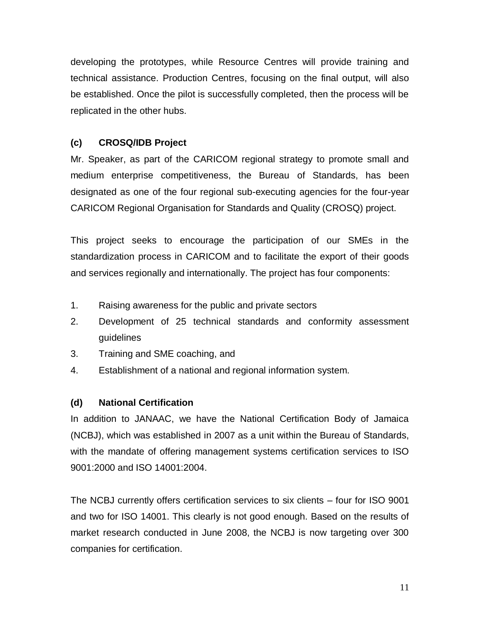developing the prototypes, while Resource Centres will provide training and technical assistance. Production Centres, focusing on the final output, will also be established. Once the pilot is successfully completed, then the process will be replicated in the other hubs.

# **(c) CROSQ/IDB Project**

Mr. Speaker, as part of the CARICOM regional strategy to promote small and medium enterprise competitiveness, the Bureau of Standards, has been designated as one of the four regional sub-executing agencies for the four-year CARICOM Regional Organisation for Standards and Quality (CROSQ) project.

This project seeks to encourage the participation of our SMEs in the standardization process in CARICOM and to facilitate the export of their goods and services regionally and internationally. The project has four components:

- 1. Raising awareness for the public and private sectors
- 2. Development of 25 technical standards and conformity assessment guidelines
- 3. Training and SME coaching, and
- 4. Establishment of a national and regional information system.

# **(d) National Certification**

In addition to JANAAC, we have the National Certification Body of Jamaica (NCBJ), which was established in 2007 as a unit within the Bureau of Standards, with the mandate of offering management systems certification services to ISO 9001:2000 and ISO 14001:2004.

The NCBJ currently offers certification services to six clients – four for ISO 9001 and two for ISO 14001. This clearly is not good enough. Based on the results of market research conducted in June 2008, the NCBJ is now targeting over 300 companies for certification.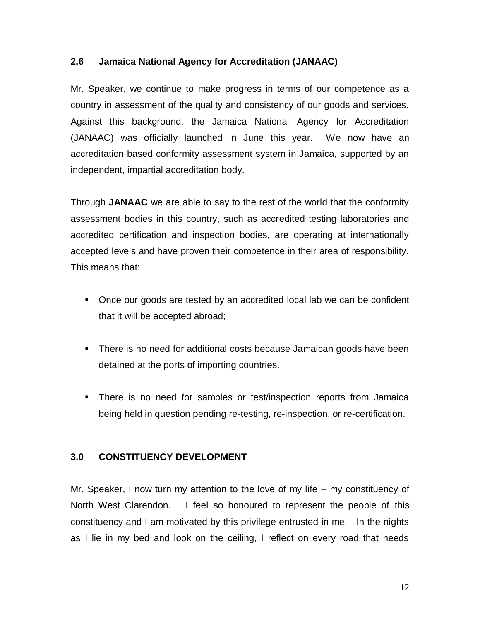#### **2.6 Jamaica National Agency for Accreditation (JANAAC)**

Mr. Speaker, we continue to make progress in terms of our competence as a country in assessment of the quality and consistency of our goods and services. Against this background, the Jamaica National Agency for Accreditation (JANAAC) was officially launched in June this year. We now have an accreditation based conformity assessment system in Jamaica, supported by an independent, impartial accreditation body.

Through **JANAAC** we are able to say to the rest of the world that the conformity assessment bodies in this country, such as accredited testing laboratories and accredited certification and inspection bodies, are operating at internationally accepted levels and have proven their competence in their area of responsibility. This means that:

- Once our goods are tested by an accredited local lab we can be confident that it will be accepted abroad;
- **There is no need for additional costs because Jamaican goods have been** detained at the ports of importing countries.
- There is no need for samples or test/inspection reports from Jamaica being held in question pending re-testing, re-inspection, or re-certification.

#### **3.0 CONSTITUENCY DEVELOPMENT**

Mr. Speaker, I now turn my attention to the love of my life – my constituency of North West Clarendon. I feel so honoured to represent the people of this constituency and I am motivated by this privilege entrusted in me. In the nights as I lie in my bed and look on the ceiling, I reflect on every road that needs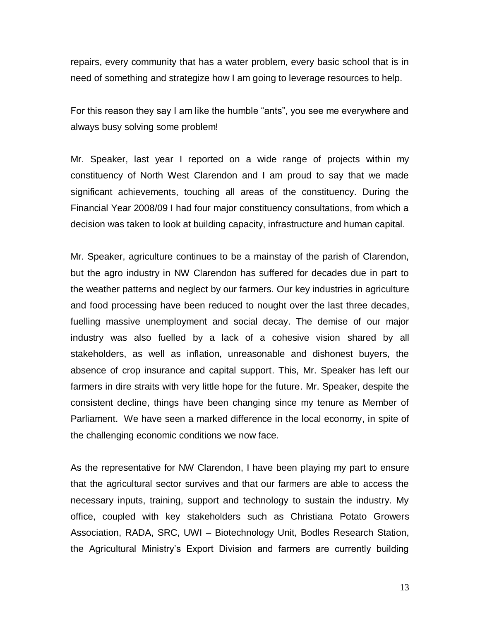repairs, every community that has a water problem, every basic school that is in need of something and strategize how I am going to leverage resources to help.

For this reason they say I am like the humble "ants", you see me everywhere and always busy solving some problem!

Mr. Speaker, last year I reported on a wide range of projects within my constituency of North West Clarendon and I am proud to say that we made significant achievements, touching all areas of the constituency. During the Financial Year 2008/09 I had four major constituency consultations, from which a decision was taken to look at building capacity, infrastructure and human capital.

Mr. Speaker, agriculture continues to be a mainstay of the parish of Clarendon, but the agro industry in NW Clarendon has suffered for decades due in part to the weather patterns and neglect by our farmers. Our key industries in agriculture and food processing have been reduced to nought over the last three decades, fuelling massive unemployment and social decay. The demise of our major industry was also fuelled by a lack of a cohesive vision shared by all stakeholders, as well as inflation, unreasonable and dishonest buyers, the absence of crop insurance and capital support. This, Mr. Speaker has left our farmers in dire straits with very little hope for the future. Mr. Speaker, despite the consistent decline, things have been changing since my tenure as Member of Parliament. We have seen a marked difference in the local economy, in spite of the challenging economic conditions we now face.

As the representative for NW Clarendon, I have been playing my part to ensure that the agricultural sector survives and that our farmers are able to access the necessary inputs, training, support and technology to sustain the industry. My office, coupled with key stakeholders such as Christiana Potato Growers Association, RADA, SRC, UWI – Biotechnology Unit, Bodles Research Station, the Agricultural Ministry's Export Division and farmers are currently building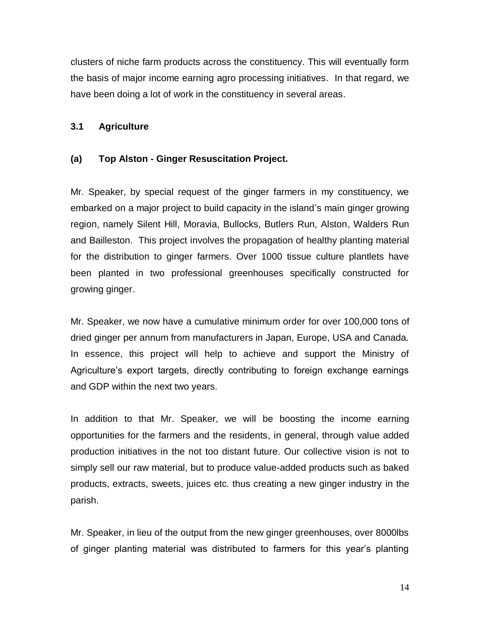clusters of niche farm products across the constituency. This will eventually form the basis of major income earning agro processing initiatives. In that regard, we have been doing a lot of work in the constituency in several areas.

#### **3.1 Agriculture**

#### **(a) Top Alston - Ginger Resuscitation Project.**

Mr. Speaker, by special request of the ginger farmers in my constituency, we embarked on a major project to build capacity in the island's main ginger growing region, namely Silent Hill, Moravia, Bullocks, Butlers Run, Alston, Walders Run and Bailleston. This project involves the propagation of healthy planting material for the distribution to ginger farmers. Over 1000 tissue culture plantlets have been planted in two professional greenhouses specifically constructed for growing ginger.

Mr. Speaker, we now have a cumulative minimum order for over 100,000 tons of dried ginger per annum from manufacturers in Japan, Europe, USA and Canada. In essence, this project will help to achieve and support the Ministry of Agriculture's export targets, directly contributing to foreign exchange earnings and GDP within the next two years.

In addition to that Mr. Speaker, we will be boosting the income earning opportunities for the farmers and the residents, in general, through value added production initiatives in the not too distant future. Our collective vision is not to simply sell our raw material, but to produce value-added products such as baked products, extracts, sweets, juices etc. thus creating a new ginger industry in the parish.

Mr. Speaker, in lieu of the output from the new ginger greenhouses, over 8000lbs of ginger planting material was distributed to farmers for this year's planting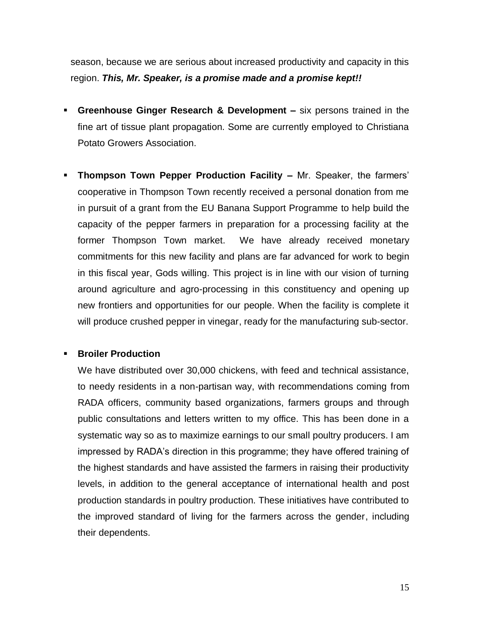season, because we are serious about increased productivity and capacity in this region. *This, Mr. Speaker, is a promise made and a promise kept!!* 

- **Greenhouse Ginger Research & Development –** six persons trained in the fine art of tissue plant propagation. Some are currently employed to Christiana Potato Growers Association.
- **Thompson Town Pepper Production Facility –** Mr. Speaker, the farmers' cooperative in Thompson Town recently received a personal donation from me in pursuit of a grant from the EU Banana Support Programme to help build the capacity of the pepper farmers in preparation for a processing facility at the former Thompson Town market. We have already received monetary commitments for this new facility and plans are far advanced for work to begin in this fiscal year, Gods willing. This project is in line with our vision of turning around agriculture and agro-processing in this constituency and opening up new frontiers and opportunities for our people. When the facility is complete it will produce crushed pepper in vinegar, ready for the manufacturing sub-sector.

#### **Broiler Production**

We have distributed over 30,000 chickens, with feed and technical assistance, to needy residents in a non-partisan way, with recommendations coming from RADA officers, community based organizations, farmers groups and through public consultations and letters written to my office. This has been done in a systematic way so as to maximize earnings to our small poultry producers. I am impressed by RADA's direction in this programme; they have offered training of the highest standards and have assisted the farmers in raising their productivity levels, in addition to the general acceptance of international health and post production standards in poultry production. These initiatives have contributed to the improved standard of living for the farmers across the gender, including their dependents.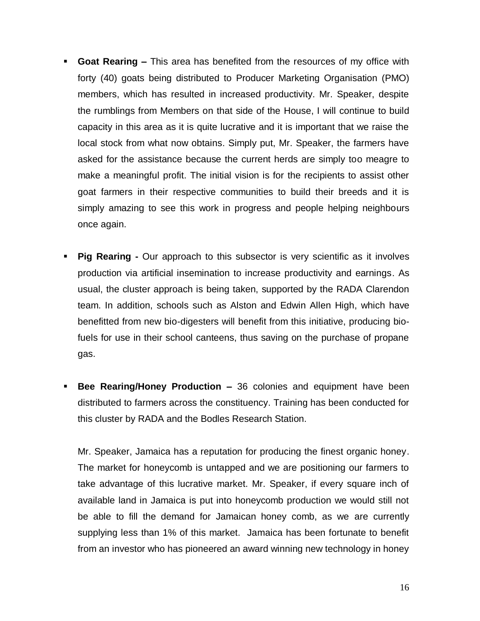- **Goat Rearing –** This area has benefited from the resources of my office with forty (40) goats being distributed to Producer Marketing Organisation (PMO) members, which has resulted in increased productivity. Mr. Speaker, despite the rumblings from Members on that side of the House, I will continue to build capacity in this area as it is quite lucrative and it is important that we raise the local stock from what now obtains. Simply put, Mr. Speaker, the farmers have asked for the assistance because the current herds are simply too meagre to make a meaningful profit. The initial vision is for the recipients to assist other goat farmers in their respective communities to build their breeds and it is simply amazing to see this work in progress and people helping neighbours once again.
- **Pig Rearing -** Our approach to this subsector is very scientific as it involves production via artificial insemination to increase productivity and earnings. As usual, the cluster approach is being taken, supported by the RADA Clarendon team. In addition, schools such as Alston and Edwin Allen High, which have benefitted from new bio-digesters will benefit from this initiative, producing biofuels for use in their school canteens, thus saving on the purchase of propane gas.
- **Bee Rearing/Honey Production –** 36 colonies and equipment have been distributed to farmers across the constituency. Training has been conducted for this cluster by RADA and the Bodles Research Station.

Mr. Speaker, Jamaica has a reputation for producing the finest organic honey. The market for honeycomb is untapped and we are positioning our farmers to take advantage of this lucrative market. Mr. Speaker, if every square inch of available land in Jamaica is put into honeycomb production we would still not be able to fill the demand for Jamaican honey comb, as we are currently supplying less than 1% of this market. Jamaica has been fortunate to benefit from an investor who has pioneered an award winning new technology in honey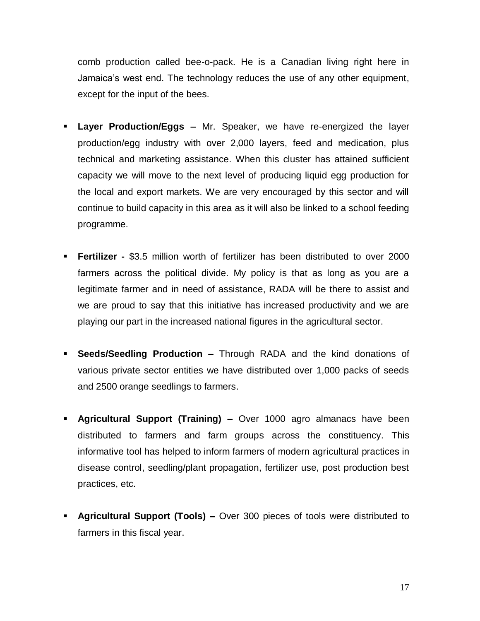comb production called bee-o-pack. He is a Canadian living right here in Jamaica's west end. The technology reduces the use of any other equipment, except for the input of the bees.

- **Layer Production/Eggs –** Mr. Speaker, we have re-energized the layer production/egg industry with over 2,000 layers, feed and medication, plus technical and marketing assistance. When this cluster has attained sufficient capacity we will move to the next level of producing liquid egg production for the local and export markets. We are very encouraged by this sector and will continue to build capacity in this area as it will also be linked to a school feeding programme.
- **Fertilizer -** \$3.5 million worth of fertilizer has been distributed to over 2000 farmers across the political divide. My policy is that as long as you are a legitimate farmer and in need of assistance, RADA will be there to assist and we are proud to say that this initiative has increased productivity and we are playing our part in the increased national figures in the agricultural sector.
- **Seeds/Seedling Production –** Through RADA and the kind donations of various private sector entities we have distributed over 1,000 packs of seeds and 2500 orange seedlings to farmers.
- **Agricultural Support (Training) –** Over 1000 agro almanacs have been distributed to farmers and farm groups across the constituency. This informative tool has helped to inform farmers of modern agricultural practices in disease control, seedling/plant propagation, fertilizer use, post production best practices, etc.
- **Agricultural Support (Tools) –** Over 300 pieces of tools were distributed to farmers in this fiscal year.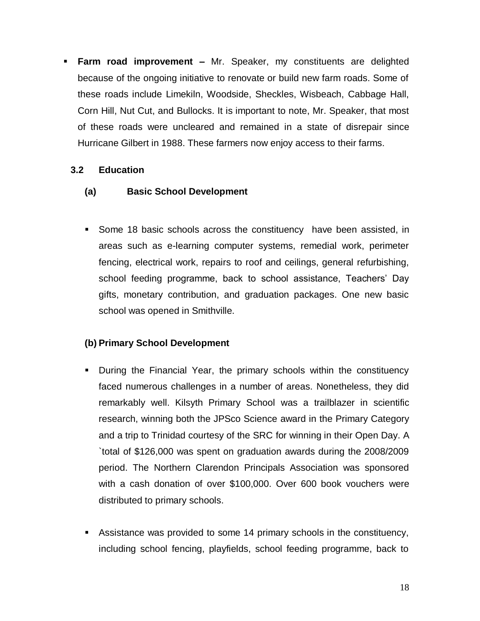**Farm road improvement –** Mr. Speaker, my constituents are delighted because of the ongoing initiative to renovate or build new farm roads. Some of these roads include Limekiln, Woodside, Sheckles, Wisbeach, Cabbage Hall, Corn Hill, Nut Cut, and Bullocks. It is important to note, Mr. Speaker, that most of these roads were uncleared and remained in a state of disrepair since Hurricane Gilbert in 1988. These farmers now enjoy access to their farms.

#### **3.2 Education**

- **(a) Basic School Development**
- Some 18 basic schools across the constituency have been assisted, in areas such as e-learning computer systems, remedial work, perimeter fencing, electrical work, repairs to roof and ceilings, general refurbishing, school feeding programme, back to school assistance, Teachers' Day gifts, monetary contribution, and graduation packages. One new basic school was opened in Smithville.

#### **(b) Primary School Development**

- During the Financial Year, the primary schools within the constituency faced numerous challenges in a number of areas. Nonetheless, they did remarkably well. Kilsyth Primary School was a trailblazer in scientific research, winning both the JPSco Science award in the Primary Category and a trip to Trinidad courtesy of the SRC for winning in their Open Day. A `total of \$126,000 was spent on graduation awards during the 2008/2009 period. The Northern Clarendon Principals Association was sponsored with a cash donation of over \$100,000. Over 600 book vouchers were distributed to primary schools.
- Assistance was provided to some 14 primary schools in the constituency, including school fencing, playfields, school feeding programme, back to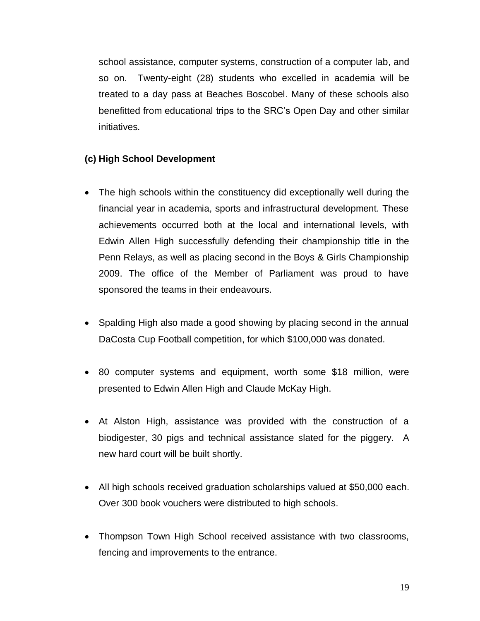school assistance, computer systems, construction of a computer lab, and so on. Twenty-eight (28) students who excelled in academia will be treated to a day pass at Beaches Boscobel. Many of these schools also benefitted from educational trips to the SRC's Open Day and other similar initiatives.

#### **(c) High School Development**

- The high schools within the constituency did exceptionally well during the financial year in academia, sports and infrastructural development. These achievements occurred both at the local and international levels, with Edwin Allen High successfully defending their championship title in the Penn Relays, as well as placing second in the Boys & Girls Championship 2009. The office of the Member of Parliament was proud to have sponsored the teams in their endeavours.
- Spalding High also made a good showing by placing second in the annual DaCosta Cup Football competition, for which \$100,000 was donated.
- 80 computer systems and equipment, worth some \$18 million, were presented to Edwin Allen High and Claude McKay High.
- At Alston High, assistance was provided with the construction of a biodigester, 30 pigs and technical assistance slated for the piggery. A new hard court will be built shortly.
- All high schools received graduation scholarships valued at \$50,000 each. Over 300 book vouchers were distributed to high schools.
- Thompson Town High School received assistance with two classrooms, fencing and improvements to the entrance.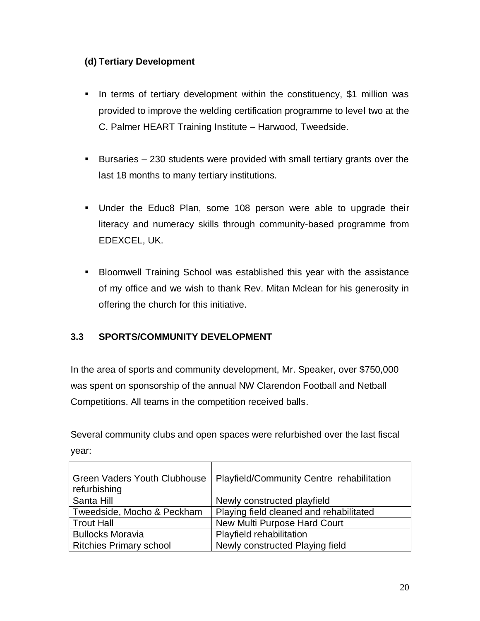# **(d) Tertiary Development**

- In terms of tertiary development within the constituency, \$1 million was provided to improve the welding certification programme to level two at the C. Palmer HEART Training Institute – Harwood, Tweedside.
- Bursaries  $-230$  students were provided with small tertiary grants over the last 18 months to many tertiary institutions.
- Under the Educ8 Plan, some 108 person were able to upgrade their literacy and numeracy skills through community-based programme from EDEXCEL, UK.
- **Bloomwell Training School was established this year with the assistance** of my office and we wish to thank Rev. Mitan Mclean for his generosity in offering the church for this initiative.

# **3.3 SPORTS/COMMUNITY DEVELOPMENT**

In the area of sports and community development, Mr. Speaker, over \$750,000 was spent on sponsorship of the annual NW Clarendon Football and Netball Competitions. All teams in the competition received balls.

Several community clubs and open spaces were refurbished over the last fiscal year:

| <b>Green Vaders Youth Clubhouse</b> | Playfield/Community Centre rehabilitation |
|-------------------------------------|-------------------------------------------|
| refurbishing                        |                                           |
| Santa Hill                          | Newly constructed playfield               |
| Tweedside, Mocho & Peckham          | Playing field cleaned and rehabilitated   |
| <b>Trout Hall</b>                   | New Multi Purpose Hard Court              |
| <b>Bullocks Moravia</b>             | Playfield rehabilitation                  |
| <b>Ritchies Primary school</b>      | Newly constructed Playing field           |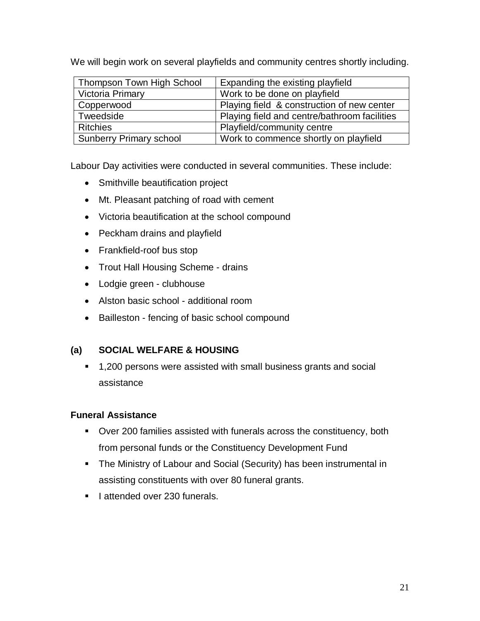We will begin work on several playfields and community centres shortly including.

| Thompson Town High School      | Expanding the existing playfield             |
|--------------------------------|----------------------------------------------|
| Victoria Primary               | Work to be done on playfield                 |
| Copperwood                     | Playing field & construction of new center   |
| Tweedside                      | Playing field and centre/bathroom facilities |
| <b>Ritchies</b>                | Playfield/community centre                   |
| <b>Sunberry Primary school</b> | Work to commence shortly on playfield        |

Labour Day activities were conducted in several communities. These include:

- Smithville beautification project
- Mt. Pleasant patching of road with cement
- Victoria beautification at the school compound
- Peckham drains and playfield
- Frankfield-roof bus stop
- Trout Hall Housing Scheme drains
- Lodgie green clubhouse
- Alston basic school additional room
- Bailleston fencing of basic school compound

# **(a) SOCIAL WELFARE & HOUSING**

■ 1,200 persons were assisted with small business grants and social assistance

#### **Funeral Assistance**

- Over 200 families assisted with funerals across the constituency, both from personal funds or the Constituency Development Fund
- The Ministry of Labour and Social (Security) has been instrumental in assisting constituents with over 80 funeral grants.
- **I** lattended over 230 funerals.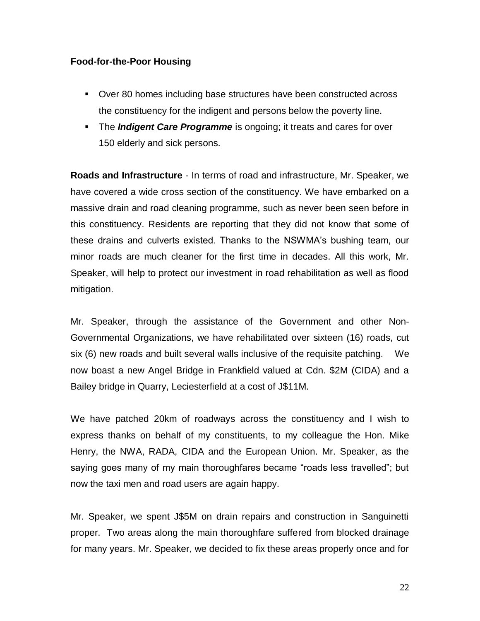#### **Food-for-the-Poor Housing**

- Over 80 homes including base structures have been constructed across the constituency for the indigent and persons below the poverty line.
- **The** *Indigent Care Programme* is ongoing; it treats and cares for over 150 elderly and sick persons.

**Roads and Infrastructure** - In terms of road and infrastructure, Mr. Speaker, we have covered a wide cross section of the constituency. We have embarked on a massive drain and road cleaning programme, such as never been seen before in this constituency. Residents are reporting that they did not know that some of these drains and culverts existed. Thanks to the NSWMA's bushing team, our minor roads are much cleaner for the first time in decades. All this work, Mr. Speaker, will help to protect our investment in road rehabilitation as well as flood mitigation.

Mr. Speaker, through the assistance of the Government and other Non-Governmental Organizations, we have rehabilitated over sixteen (16) roads, cut six (6) new roads and built several walls inclusive of the requisite patching. We now boast a new Angel Bridge in Frankfield valued at Cdn. \$2M (CIDA) and a Bailey bridge in Quarry, Leciesterfield at a cost of J\$11M.

We have patched 20km of roadways across the constituency and I wish to express thanks on behalf of my constituents, to my colleague the Hon. Mike Henry, the NWA, RADA, CIDA and the European Union. Mr. Speaker, as the saying goes many of my main thoroughfares became "roads less travelled"; but now the taxi men and road users are again happy.

Mr. Speaker, we spent J\$5M on drain repairs and construction in Sanguinetti proper. Two areas along the main thoroughfare suffered from blocked drainage for many years. Mr. Speaker, we decided to fix these areas properly once and for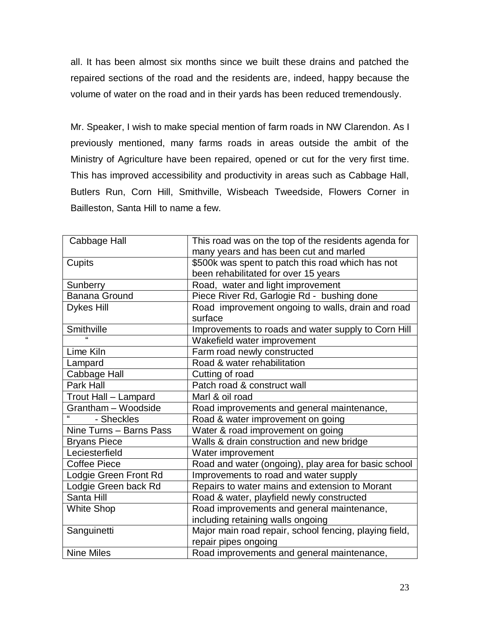all. It has been almost six months since we built these drains and patched the repaired sections of the road and the residents are, indeed, happy because the volume of water on the road and in their yards has been reduced tremendously.

Mr. Speaker, I wish to make special mention of farm roads in NW Clarendon. As I previously mentioned, many farms roads in areas outside the ambit of the Ministry of Agriculture have been repaired, opened or cut for the very first time. This has improved accessibility and productivity in areas such as Cabbage Hall, Butlers Run, Corn Hill, Smithville, Wisbeach Tweedside, Flowers Corner in Bailleston, Santa Hill to name a few.

| Cabbage Hall            | This road was on the top of the residents agenda for   |
|-------------------------|--------------------------------------------------------|
|                         | many years and has been cut and marled                 |
| Cupits                  | \$500k was spent to patch this road which has not      |
|                         | been rehabilitated for over 15 years                   |
| Sunberry                | Road, water and light improvement                      |
| <b>Banana Ground</b>    | Piece River Rd, Garlogie Rd - bushing done             |
| <b>Dykes Hill</b>       | Road improvement ongoing to walls, drain and road      |
|                         | surface                                                |
| Smithville              | Improvements to roads and water supply to Corn Hill    |
|                         | Wakefield water improvement                            |
| Lime Kiln               | Farm road newly constructed                            |
| Lampard                 | Road & water rehabilitation                            |
| Cabbage Hall            | Cutting of road                                        |
| Park Hall               | Patch road & construct wall                            |
| Trout Hall - Lampard    | Marl & oil road                                        |
| Grantham - Woodside     | Road improvements and general maintenance,             |
| - Sheckles              | Road & water improvement on going                      |
| Nine Turns - Barns Pass | Water & road improvement on going                      |
| <b>Bryans Piece</b>     | Walls & drain construction and new bridge              |
| Leciesterfield          | Water improvement                                      |
| <b>Coffee Piece</b>     | Road and water (ongoing), play area for basic school   |
| Lodgie Green Front Rd   | Improvements to road and water supply                  |
| Lodgie Green back Rd    | Repairs to water mains and extension to Morant         |
| Santa Hill              | Road & water, playfield newly constructed              |
| <b>White Shop</b>       | Road improvements and general maintenance,             |
|                         | including retaining walls ongoing                      |
| Sanguinetti             | Major main road repair, school fencing, playing field, |
|                         | repair pipes ongoing                                   |
| <b>Nine Miles</b>       | Road improvements and general maintenance,             |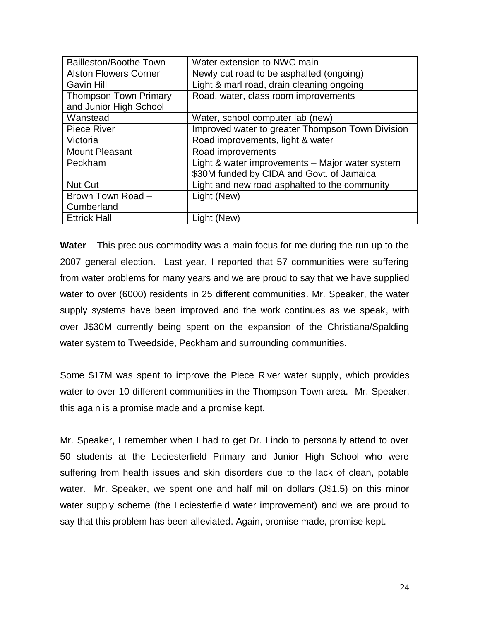| <b>Bailleston/Boothe Town</b> | Water extension to NWC main                      |
|-------------------------------|--------------------------------------------------|
| <b>Alston Flowers Corner</b>  | Newly cut road to be asphalted (ongoing)         |
| <b>Gavin Hill</b>             | Light & marl road, drain cleaning ongoing        |
| <b>Thompson Town Primary</b>  | Road, water, class room improvements             |
| and Junior High School        |                                                  |
| Wanstead                      | Water, school computer lab (new)                 |
| Piece River                   | Improved water to greater Thompson Town Division |
| Victoria                      | Road improvements, light & water                 |
| <b>Mount Pleasant</b>         | Road improvements                                |
| Peckham                       | Light & water improvements - Major water system  |
|                               | \$30M funded by CIDA and Govt. of Jamaica        |
| <b>Nut Cut</b>                | Light and new road asphalted to the community    |
| Brown Town Road -             | Light (New)                                      |
| Cumberland                    |                                                  |
| <b>Ettrick Hall</b>           | Light (New)                                      |

**Water** – This precious commodity was a main focus for me during the run up to the 2007 general election. Last year, I reported that 57 communities were suffering from water problems for many years and we are proud to say that we have supplied water to over (6000) residents in 25 different communities. Mr. Speaker, the water supply systems have been improved and the work continues as we speak, with over J\$30M currently being spent on the expansion of the Christiana/Spalding water system to Tweedside, Peckham and surrounding communities.

Some \$17M was spent to improve the Piece River water supply, which provides water to over 10 different communities in the Thompson Town area. Mr. Speaker, this again is a promise made and a promise kept.

Mr. Speaker, I remember when I had to get Dr. Lindo to personally attend to over 50 students at the Leciesterfield Primary and Junior High School who were suffering from health issues and skin disorders due to the lack of clean, potable water. Mr. Speaker, we spent one and half million dollars (J\$1.5) on this minor water supply scheme (the Leciesterfield water improvement) and we are proud to say that this problem has been alleviated. Again, promise made, promise kept.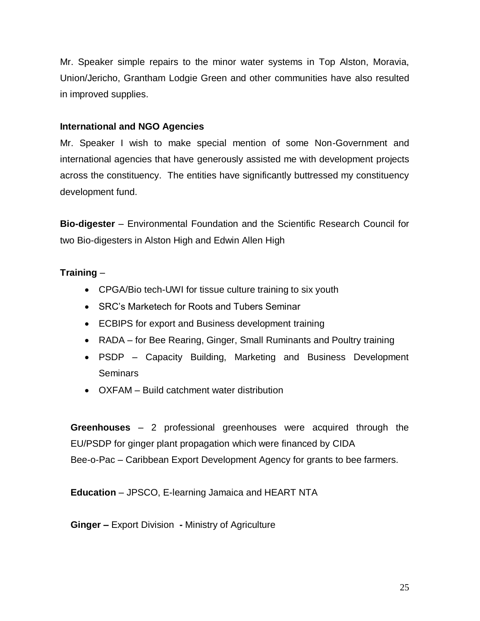Mr. Speaker simple repairs to the minor water systems in Top Alston, Moravia, Union/Jericho, Grantham Lodgie Green and other communities have also resulted in improved supplies.

#### **International and NGO Agencies**

Mr. Speaker I wish to make special mention of some Non-Government and international agencies that have generously assisted me with development projects across the constituency. The entities have significantly buttressed my constituency development fund.

**Bio-digester** – Environmental Foundation and the Scientific Research Council for two Bio-digesters in Alston High and Edwin Allen High

#### **Training** –

- CPGA/Bio tech-UWI for tissue culture training to six youth
- SRC's Marketech for Roots and Tubers Seminar
- ECBIPS for export and Business development training
- RADA for Bee Rearing, Ginger, Small Ruminants and Poultry training
- PSDP Capacity Building, Marketing and Business Development **Seminars**
- OXFAM Build catchment water distribution

**Greenhouses** – 2 professional greenhouses were acquired through the EU/PSDP for ginger plant propagation which were financed by CIDA Bee-o-Pac – Caribbean Export Development Agency for grants to bee farmers.

**Education** – JPSCO, E-learning Jamaica and HEART NTA

**Ginger –** Export Division **-** Ministry of Agriculture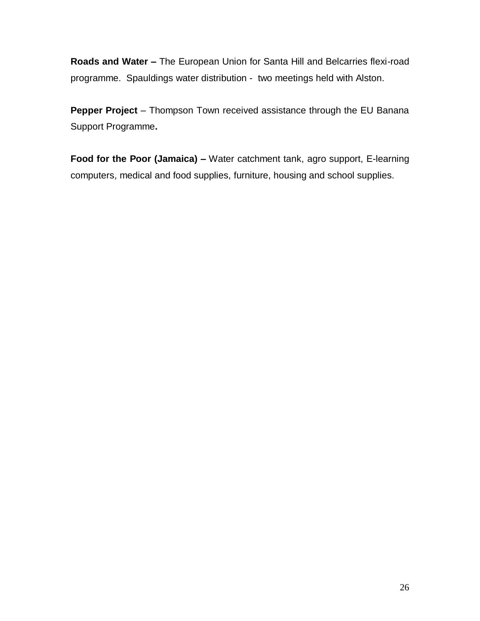**Roads and Water –** The European Union for Santa Hill and Belcarries flexi-road programme. Spauldings water distribution - two meetings held with Alston.

**Pepper Project** – Thompson Town received assistance through the EU Banana Support Programme**.** 

**Food for the Poor (Jamaica) –** Water catchment tank, agro support, E-learning computers, medical and food supplies, furniture, housing and school supplies.